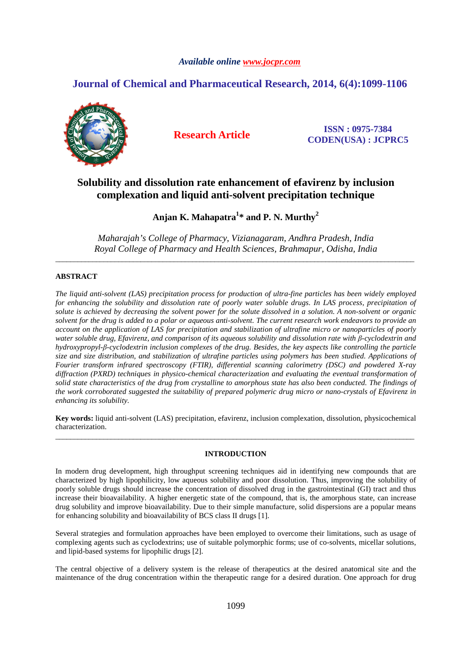# *Available online www.jocpr.com*

# **Journal of Chemical and Pharmaceutical Research, 2014, 6(4):1099-1106**



**Research Article ISSN : 0975-7384 CODEN(USA) : JCPRC5**

# **Solubility and dissolution rate enhancement of efavirenz by inclusion complexation and liquid anti-solvent precipitation technique**

**Anjan K. Mahapatra<sup>1</sup> \* and P. N. Murthy<sup>2</sup>**

*Maharajah's College of Pharmacy, Vizianagaram, Andhra Pradesh, India Royal College of Pharmacy and Health Sciences, Brahmapur, Odisha, India*  \_\_\_\_\_\_\_\_\_\_\_\_\_\_\_\_\_\_\_\_\_\_\_\_\_\_\_\_\_\_\_\_\_\_\_\_\_\_\_\_\_\_\_\_\_\_\_\_\_\_\_\_\_\_\_\_\_\_\_\_\_\_\_\_\_\_\_\_\_\_\_\_\_\_\_\_\_\_\_\_\_\_\_\_\_\_\_\_\_\_\_\_\_\_\_\_\_

# **ABSTRACT**

*The liquid anti-solvent (LAS) precipitation process for production of ultra-fine particles has been widely employed*  for enhancing the solubility and dissolution rate of poorly water soluble drugs. In LAS process, precipitation of *solute is achieved by decreasing the solvent power for the solute dissolved in a solution. A non-solvent or organic solvent for the drug is added to a polar or aqueous anti-solvent. The current research work endeavors to provide an account on the application of LAS for precipitation and stabilization of ultrafine micro or nanoparticles of poorly water soluble drug, Efavirenz, and comparison of its aqueous solubility and dissolution rate with β-cyclodextrin and hydroxypropyl-β-cyclodextrin inclusion complexes of the drug. Besides, the key aspects like controlling the particle size and size distribution, and stabilization of ultrafine particles using polymers has been studied. Applications of Fourier transform infrared spectroscopy (FTIR), differential scanning calorimetry (DSC) and powdered X-ray diffraction (PXRD) techniques in physico-chemical characterization and evaluating the eventual transformation of solid state characteristics of the drug from crystalline to amorphous state has also been conducted. The findings of the work corroborated suggested the suitability of prepared polymeric drug micro or nano-crystals of Efavirenz in enhancing its solubility.* 

**Key words:** liquid anti-solvent (LAS) precipitation, efavirenz, inclusion complexation, dissolution, physicochemical characterization. \_\_\_\_\_\_\_\_\_\_\_\_\_\_\_\_\_\_\_\_\_\_\_\_\_\_\_\_\_\_\_\_\_\_\_\_\_\_\_\_\_\_\_\_\_\_\_\_\_\_\_\_\_\_\_\_\_\_\_\_\_\_\_\_\_\_\_\_\_\_\_\_\_\_\_\_\_\_\_\_\_\_\_\_\_\_\_\_\_\_\_\_\_\_\_\_\_

#### **INTRODUCTION**

In modern drug development, high throughput screening techniques aid in identifying new compounds that are characterized by high lipophilicity, low aqueous solubility and poor dissolution. Thus, improving the solubility of poorly soluble drugs should increase the concentration of dissolved drug in the gastrointestinal (GI) tract and thus increase their bioavailability. A higher energetic state of the compound, that is, the amorphous state, can increase drug solubility and improve bioavailability. Due to their simple manufacture, solid dispersions are a popular means for enhancing solubility and bioavailability of BCS class II drugs [1].

Several strategies and formulation approaches have been employed to overcome their limitations, such as usage of complexing agents such as cyclodextrins; use of suitable polymorphic forms; use of co-solvents, micellar solutions, and lipid-based systems for lipophilic drugs [2].

The central objective of a delivery system is the release of therapeutics at the desired anatomical site and the maintenance of the drug concentration within the therapeutic range for a desired duration. One approach for drug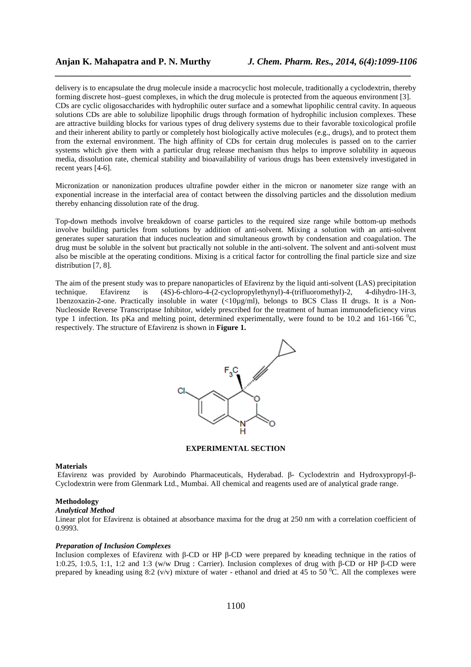delivery is to encapsulate the drug molecule inside a macrocyclic host molecule, traditionally a cyclodextrin, thereby forming discrete host–guest complexes, in which the drug molecule is protected from the aqueous environment [3]. CDs are cyclic oligosaccharides with hydrophilic outer surface and a somewhat lipophilic central cavity. In aqueous solutions CDs are able to solubilize lipophilic drugs through formation of hydrophilic inclusion complexes. These are attractive building blocks for various types of drug delivery systems due to their favorable toxicological profile and their inherent ability to partly or completely host biologically active molecules (e.g., drugs), and to protect them from the external environment. The high affinity of CDs for certain drug molecules is passed on to the carrier systems which give them with a particular drug release mechanism thus helps to improve solubility in aqueous media, dissolution rate, chemical stability and bioavailability of various drugs has been extensively investigated in recent years [4-6].

*\_\_\_\_\_\_\_\_\_\_\_\_\_\_\_\_\_\_\_\_\_\_\_\_\_\_\_\_\_\_\_\_\_\_\_\_\_\_\_\_\_\_\_\_\_\_\_\_\_\_\_\_\_\_\_\_\_\_\_\_\_\_\_\_\_\_\_\_\_\_\_\_\_\_\_\_\_*

Micronization or nanonization produces ultrafine powder either in the micron or nanometer size range with an exponential increase in the interfacial area of contact between the dissolving particles and the dissolution medium thereby enhancing dissolution rate of the drug.

Top-down methods involve breakdown of coarse particles to the required size range while bottom-up methods involve building particles from solutions by addition of anti-solvent. Mixing a solution with an anti-solvent generates super saturation that induces nucleation and simultaneous growth by condensation and coagulation. The drug must be soluble in the solvent but practically not soluble in the anti-solvent. The solvent and anti-solvent must also be miscible at the operating conditions. Mixing is a critical factor for controlling the final particle size and size distribution [7, 8].

The aim of the present study was to prepare nanoparticles of Efavirenz by the liquid anti-solvent (LAS) precipitation technique. Efavirenz is (4S)-6-chloro-4-(2-cyclopropylethynyl)-4-(trifluoromethyl)-2, 4-dihydro-1H-3, 1benzoxazin-2-one. Practically insoluble in water  $\left(\frac{20\mu g}{m}\right)$ , belongs to BCS Class II drugs. It is a Non-Nucleoside Reverse Transcriptase Inhibitor, widely prescribed for the treatment of human immunodeficiency virus type 1 infection. Its pKa and melting point, determined experimentally, were found to be 10.2 and 161-166  $^{\circ}$ C, respectively. The structure of Efavirenz is shown in **Figure 1.** 



## **EXPERIMENTAL SECTION**

## **Materials**

Efavirenz was provided by Aurobindo Pharmaceuticals, Hyderabad. β- Cyclodextrin and Hydroxypropyl-β-Cyclodextrin were from Glenmark Ltd., Mumbai. All chemical and reagents used are of analytical grade range.

## **Methodology**

# *Analytical Method*

Linear plot for Efavirenz is obtained at absorbance maxima for the drug at 250 nm with a correlation coefficient of 0.9993.

## *Preparation of Inclusion Complexes*

Inclusion complexes of Efavirenz with β-CD or HP β-CD were prepared by kneading technique in the ratios of 1:0.25, 1:0.5, 1:1, 1:2 and 1:3 (w/w Drug : Carrier). Inclusion complexes of drug with β-CD or HP β-CD were prepared by kneading using 8:2 (v/v) mixture of water - ethanol and dried at 45 to 50  $^{\circ}$ C. All the complexes were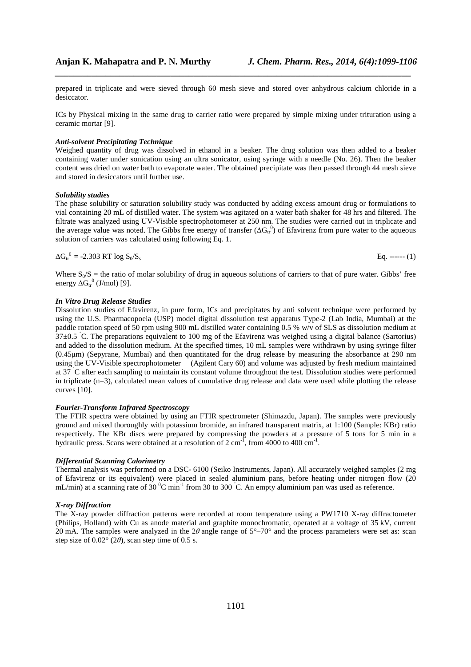prepared in triplicate and were sieved through 60 mesh sieve and stored over anhydrous calcium chloride in a desiccator.

*\_\_\_\_\_\_\_\_\_\_\_\_\_\_\_\_\_\_\_\_\_\_\_\_\_\_\_\_\_\_\_\_\_\_\_\_\_\_\_\_\_\_\_\_\_\_\_\_\_\_\_\_\_\_\_\_\_\_\_\_\_\_\_\_\_\_\_\_\_\_\_\_\_\_\_\_\_*

ICs by Physical mixing in the same drug to carrier ratio were prepared by simple mixing under trituration using a ceramic mortar [9].

#### *Anti-solvent Precipitating Technique*

Weighed quantity of drug was dissolved in ethanol in a beaker. The drug solution was then added to a beaker containing water under sonication using an ultra sonicator, using syringe with a needle (No. 26). Then the beaker content was dried on water bath to evaporate water. The obtained precipitate was then passed through 44 mesh sieve and stored in desiccators until further use.

### *Solubility studies*

The phase solubility or saturation solubility study was conducted by adding excess amount drug or formulations to vial containing 20 mL of distilled water. The system was agitated on a water bath shaker for 48 hrs and filtered. The filtrate was analyzed using UV-Visible spectrophotometer at 250 nm. The studies were carried out in triplicate and the average value was noted. The Gibbs free energy of transfer ( $\Delta G_{tr}^{0}$ ) of Efavirenz from pure water to the aqueous solution of carriers was calculated using following Eq. 1.

$$
\Delta G_{tr}^{0} = -2.303 \text{ RT log } S_0 / S_s \qquad \text{Eq.} \text{---}(1)
$$

Where  $S_0/S$  = the ratio of molar solubility of drug in aqueous solutions of carriers to that of pure water. Gibbs' free energy  $\Delta G_{tr}^{0}$  (J/mol) [9].

## *In Vitro Drug Release Studies*

Dissolution studies of Efavirenz, in pure form, ICs and precipitates by anti solvent technique were performed by using the U.S. Pharmacopoeia (USP) model digital dissolution test apparatus Type-2 (Lab India, Mumbai) at the paddle rotation speed of 50 rpm using 900 mL distilled water containing 0.5 % w/v of SLS as dissolution medium at  $37±0.5$  °C. The preparations equivalent to 100 mg of the Efavirenz was weighed using a digital balance (Sartorius) and added to the dissolution medium. At the specified times, 10 mL samples were withdrawn by using syringe filter (0.45µm) (Sepyrane, Mumbai) and then quantitated for the drug release by measuring the absorbance at 290 nm using the UV-Visible spectrophotometer (Agilent Cary 60) and volume was adjusted by fresh medium maintained at 37 ˚C after each sampling to maintain its constant volume throughout the test. Dissolution studies were performed in triplicate (n=3), calculated mean values of cumulative drug release and data were used while plotting the release curves [10].

## *Fourier-Transform Infrared Spectroscopy*

The FTIR spectra were obtained by using an FTIR spectrometer (Shimazdu, Japan). The samples were previously ground and mixed thoroughly with potassium bromide, an infrared transparent matrix, at 1:100 (Sample: KBr) ratio respectively. The KBr discs were prepared by compressing the powders at a pressure of 5 tons for 5 min in a hydraulic press. Scans were obtained at a resolution of  $2 \text{ cm}^{-1}$ , from 4000 to 400  $\text{cm}^{-1}$ .

### *Differential Scanning Calorimetry*

Thermal analysis was performed on a DSC- 6100 (Seiko Instruments, Japan). All accurately weighed samples (2 mg of Efavirenz or its equivalent) were placed in sealed aluminium pans, before heating under nitrogen flow (20 mL/min) at a scanning rate of 30  $^0$ C min<sup>-1</sup> from 30 to 300  $^{\circ}$ C. An empty aluminium pan was used as reference.

## *X-ray Diffraction*

The X-ray powder diffraction patterns were recorded at room temperature using a PW1710 X-ray diffractometer (Philips, Holland) with Cu as anode material and graphite monochromatic, operated at a voltage of 35 kV, current 20 mA. The samples were analyzed in the 2*θ* angle range of 5°–70° and the process parameters were set as: scan step size of  $0.02^{\circ}$  (2 $\theta$ ), scan step time of 0.5 s.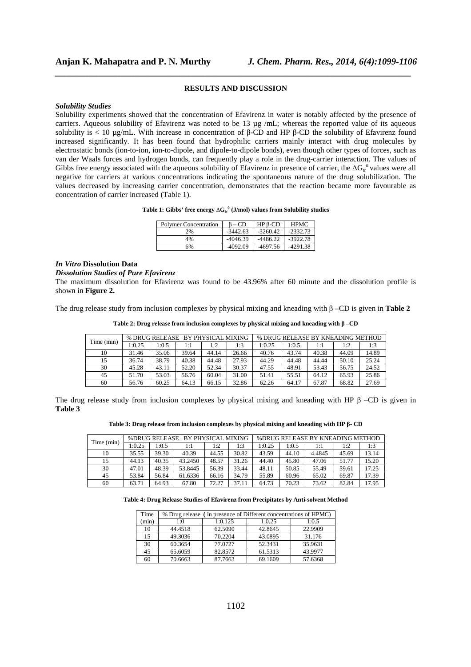## **RESULTS AND DISCUSSION**

*\_\_\_\_\_\_\_\_\_\_\_\_\_\_\_\_\_\_\_\_\_\_\_\_\_\_\_\_\_\_\_\_\_\_\_\_\_\_\_\_\_\_\_\_\_\_\_\_\_\_\_\_\_\_\_\_\_\_\_\_\_\_\_\_\_\_\_\_\_\_\_\_\_\_\_\_\_*

#### *Solubility Studies*

Solubility experiments showed that the concentration of Efavirenz in water is notably affected by the presence of carriers. Aqueous solubility of Efavirenz was noted to be 13 µg /mL; whereas the reported value of its aqueous solubility is < 10 µg/mL. With increase in concentration of β-CD and HP β-CD the solubility of Efavirenz found increased significantly. It has been found that hydrophilic carriers mainly interact with drug molecules by electrostatic bonds (ion-to-ion, ion-to-dipole, and dipole-to-dipole bonds), even though other types of forces, such as van der Waals forces and hydrogen bonds, can frequently play a role in the drug-carrier interaction. The values of Gibbs free energy associated with the aqueous solubility of Efavirenz in presence of carrier, the  $\Delta G_t^{\circ}$  values were all negative for carriers at various concentrations indicating the spontaneous nature of the drug solubilization. The values decreased by increasing carrier concentration, demonstrates that the reaction became more favourable as concentration of carrier increased (Table 1).

| Table 1: Gibbs' free energy $\Delta G_{tr}^0$ (J/mol) values from Solubility studies |  |  |  |  |  |  |  |
|--------------------------------------------------------------------------------------|--|--|--|--|--|--|--|
|--------------------------------------------------------------------------------------|--|--|--|--|--|--|--|

| <b>Polymer Concentration</b> | CD.        | $HPB-CD$   | <b>HPMC</b> |
|------------------------------|------------|------------|-------------|
| 2%                           | $-3442.63$ | $-3260.42$ | $-2332.73$  |
| 4%                           | $-4046.39$ | $-4486.22$ | $-3922.78$  |
| 6%                           | $-4092.09$ | -4697.56   | $-4291.38$  |

#### *In Vitro* **Dissolution Data**

*Dissolution Studies of Pure Efavirenz* 

The maximum dissolution for Efavirenz was found to be 43.96% after 60 minute and the dissolution profile is shown in **Figure 2.**

The drug release study from inclusion complexes by physical mixing and kneading with β –CD is given in **Table 2** 

|  |  |  |  |  | Table 2: Drug release from inclusion complexes by physical mixing and kneading with $\beta$ –CD |
|--|--|--|--|--|-------------------------------------------------------------------------------------------------|
|--|--|--|--|--|-------------------------------------------------------------------------------------------------|

| Time (min) | % DRUG RELEASE BY PHYSICAL MIXING |       |       |       | % DRUG RELEASE BY KNEADING METHOD |        |       |       |       |       |
|------------|-----------------------------------|-------|-------|-------|-----------------------------------|--------|-------|-------|-------|-------|
|            | 1:0.25                            | 1:0.5 | 1:1   | 1:2   | 1:3                               | 1:0.25 | 1:0.5 | 1:1   | 1:2   | 1:3   |
| 10         | 31.46                             | 35.06 | 39.64 | 44.14 | 26.66                             | 40.76  | 43.74 | 40.38 | 44.09 | 14.89 |
| 15         | 36.74                             | 38.79 | 40.38 | 44.48 | 27.93                             | 44.29  | 44.48 | 44.44 | 50.10 | 25.24 |
| 30         | 45.28                             | 43.11 | 52.20 | 52.34 | 30.37                             | 47.55  | 48.91 | 53.43 | 56.75 | 24.52 |
| 45         | 51.70                             | 53.03 | 56.76 | 60.04 | 31.00                             | 51.41  | 55.51 | 64.12 | 65.93 | 25.86 |
| 60         | 56.76                             | 60.25 | 64.13 | 66.15 | 32.86                             | 62.26  | 64.17 | 67.87 | 68.82 | 27.69 |

The drug release study from inclusion complexes by physical mixing and kneading with HP  $\beta$  –CD is given in **Table 3**

| Table 3: Drug release from inclusion complexes by physical mixing and kneading with HP $\beta$ - CD |  |  |  |
|-----------------------------------------------------------------------------------------------------|--|--|--|
|                                                                                                     |  |  |  |

| Time (min) | % DRUG RELEASE BY PHYSICAL MIXING |       |         |       |       | % DRUG RELEASE BY KNEADING METHOD |       |        |       |       |
|------------|-----------------------------------|-------|---------|-------|-------|-----------------------------------|-------|--------|-------|-------|
|            | 1:0.25                            | 1:0.5 | 1:1     | 1:2   | 1:3   | 1:0.25                            | 1:0.5 | 1:1    | 1:2   | 1:3   |
| 10         | 35.55                             | 39.30 | 40.39   | 44.55 | 30.82 | 43.59                             | 44.10 | 4.4845 | 45.69 | 13.14 |
| 15         | 44.13                             | 40.35 | 43.2450 | 48.57 | 31.26 | 44.40                             | 45.80 | 47.06  | 51.77 | 15.20 |
| 30         | 47.01                             | 48.39 | 53.8445 | 56.39 | 33.44 | 48.11                             | 50.85 | 55.49  | 59.61 | 17.25 |
| 45         | 53.84                             | 56.84 | 61.6336 | 66.16 | 34.79 | 55.89                             | 60.96 | 65.02  | 69.87 | 17.39 |
| 60         | 63.71                             | 64.93 | 67.80   | 72.27 | 37.11 | 64.73                             | 70.23 | 73.62  | 82.84 | 17.95 |

#### **Table 4: Drug Release Studies of Efavirenz from Precipitates by Anti-solvent Method**

| Time  | % Drug release (in presence of Different concentrations of HPMC) |         |         |         |  |  |  |
|-------|------------------------------------------------------------------|---------|---------|---------|--|--|--|
| (min) | 1:0                                                              | 1:0.125 | 1:0.25  | 1:0.5   |  |  |  |
| 10    | 44.4518                                                          | 62.5090 | 42.8645 | 22.9909 |  |  |  |
| 15    | 49.3036                                                          | 70.2204 | 43.0895 | 31.176  |  |  |  |
| 30    | 60.3654                                                          | 77.0727 | 52.3431 | 35.9631 |  |  |  |
| 45    | 65.6059                                                          | 82.8572 | 61.5313 | 43.9977 |  |  |  |
| 60    | 70.6663                                                          | 87.7663 | 69.1609 | 57.6368 |  |  |  |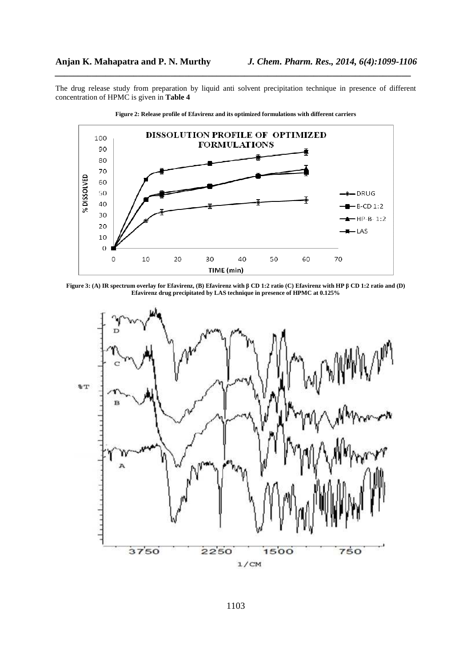The drug release study from preparation by liquid anti solvent precipitation technique in presence of different concentration of HPMC is given in **Table 4**

*\_\_\_\_\_\_\_\_\_\_\_\_\_\_\_\_\_\_\_\_\_\_\_\_\_\_\_\_\_\_\_\_\_\_\_\_\_\_\_\_\_\_\_\_\_\_\_\_\_\_\_\_\_\_\_\_\_\_\_\_\_\_\_\_\_\_\_\_\_\_\_\_\_\_\_\_\_*





**Figure 3: (A) IR spectrum overlay for Efavirenz, (B) Efavirenz with β CD 1:2 ratio (C) Efavirenz with HP β CD 1:2 ratio and (D) Efavirenz drug precipitated by LAS technique in presence of HPMC at 0.125%** 

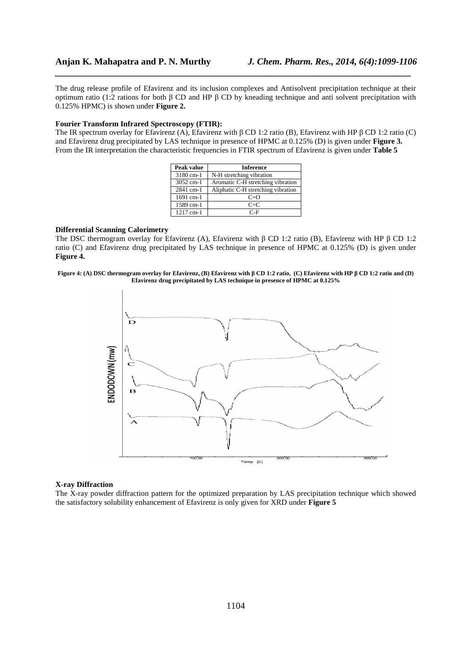The drug release profile of Efavirenz and its inclusion complexes and Antisolvent precipitation technique at their optimum ratio (1:2 rations for both β CD and HP β CD by kneading technique and anti solvent precipitation with 0.125% HPMC) is shown under **Figure 2.**

*\_\_\_\_\_\_\_\_\_\_\_\_\_\_\_\_\_\_\_\_\_\_\_\_\_\_\_\_\_\_\_\_\_\_\_\_\_\_\_\_\_\_\_\_\_\_\_\_\_\_\_\_\_\_\_\_\_\_\_\_\_\_\_\_\_\_\_\_\_\_\_\_\_\_\_\_\_*

#### **Fourier Transform Infrared Spectroscopy (FTIR):**

The IR spectrum overlay for Efavirenz (A), Efavirenz with β CD 1:2 ratio (B), Efavirenz with HP β CD 1:2 ratio (C) and Efavirenz drug precipitated by LAS technique in presence of HPMC at 0.125% (D) is given under **Figure 3.** From the IR interpretation the characteristic frequencies in FTIR spectrum of Efavirenz is given under **Table 5** 

| Peak value  | Inference                          |
|-------------|------------------------------------|
| 3180 cm-1   | N-H stretching vibration           |
| 3052 cm-1   | Aromatic C-H stretching vibration  |
| 2841 cm-1   | Aliphatic C-H stretching vibration |
| 1691 cm-1   | $C = O$                            |
| 1589 cm-1   | $C = C$                            |
| $1217$ cm-1 | C-F                                |

# **Differential Scanning Calorimetry**

The DSC thermogram overlay for Efavirenz (A), Efavirenz with β CD 1:2 ratio (B), Efavirenz with HP β CD 1:2 ratio (C) and Efavirenz drug precipitated by LAS technique in presence of HPMC at 0.125% (D) is given under **Figure 4.** 





#### **X-ray Diffraction**

The X-ray powder diffraction pattern for the optimized preparation by LAS precipitation technique which showed the satisfactory solubility enhancement of Efavirenz is only given for XRD under **Figure 5**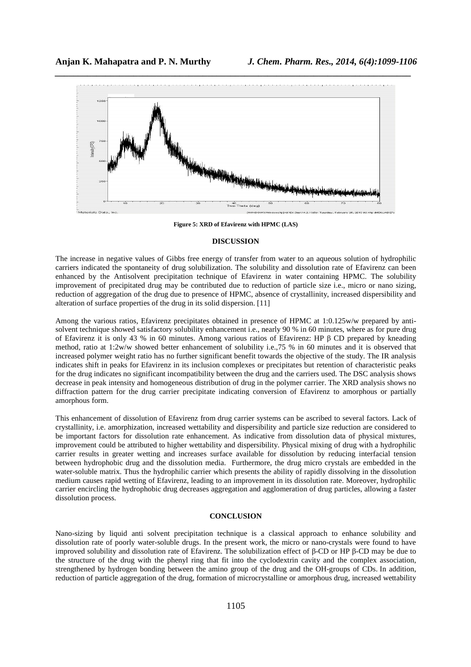

**Figure 5: XRD of Efavirenz with HPMC (LAS)** 

# **DISCUSSION**

The increase in negative values of Gibbs free energy of transfer from water to an aqueous solution of hydrophilic carriers indicated the spontaneity of drug solubilization. The solubility and dissolution rate of Efavirenz can been enhanced by the Antisolvent precipitation technique of Efavirenz in water containing HPMC. The solubility improvement of precipitated drug may be contributed due to reduction of particle size i.e., micro or nano sizing, reduction of aggregation of the drug due to presence of HPMC, absence of crystallinity, increased dispersibility and alteration of surface properties of the drug in its solid dispersion. [11]

Among the various ratios, Efavirenz precipitates obtained in presence of HPMC at 1:0.125w/w prepared by antisolvent technique showed satisfactory solubility enhancement i.e., nearly 90 % in 60 minutes, where as for pure drug of Efavirenz it is only 43 % in 60 minutes. Among various ratios of Efavirenz: HP β CD prepared by kneading method, ratio at 1:2w/w showed better enhancement of solubility i.e.,75 % in 60 minutes and it is observed that increased polymer weight ratio has no further significant benefit towards the objective of the study. The IR analysis indicates shift in peaks for Efavirenz in its inclusion complexes or precipitates but retention of characteristic peaks for the drug indicates no significant incompatibility between the drug and the carriers used. The DSC analysis shows decrease in peak intensity and homogeneous distribution of drug in the polymer carrier. The XRD analysis shows no diffraction pattern for the drug carrier precipitate indicating conversion of Efavirenz to amorphous or partially amorphous form.

This enhancement of dissolution of Efavirenz from drug carrier systems can be ascribed to several factors. Lack of crystallinity, i.e. amorphization, increased wettability and dispersibility and particle size reduction are considered to be important factors for dissolution rate enhancement. As indicative from dissolution data of physical mixtures, improvement could be attributed to higher wettability and dispersibility. Physical mixing of drug with a hydrophilic carrier results in greater wetting and increases surface available for dissolution by reducing interfacial tension between hydrophobic drug and the dissolution media. Furthermore, the drug micro crystals are embedded in the water-soluble matrix. Thus the hydrophilic carrier which presents the ability of rapidly dissolving in the dissolution medium causes rapid wetting of Efavirenz, leading to an improvement in its dissolution rate. Moreover, hydrophilic carrier encircling the hydrophobic drug decreases aggregation and agglomeration of drug particles, allowing a faster dissolution process.

## **CONCLUSION**

Nano-sizing by liquid anti solvent precipitation technique is a classical approach to enhance solubility and dissolution rate of poorly water-soluble drugs. In the present work, the micro or nano-crystals were found to have improved solubility and dissolution rate of Efavirenz. The solubilization effect of β-CD or HP β-CD may be due to the structure of the drug with the phenyl ring that fit into the cyclodextrin cavity and the complex association, strengthened by hydrogen bonding between the amino group of the drug and the OH-groups of CDs. In addition, reduction of particle aggregation of the drug, formation of microcrystalline or amorphous drug, increased wettability